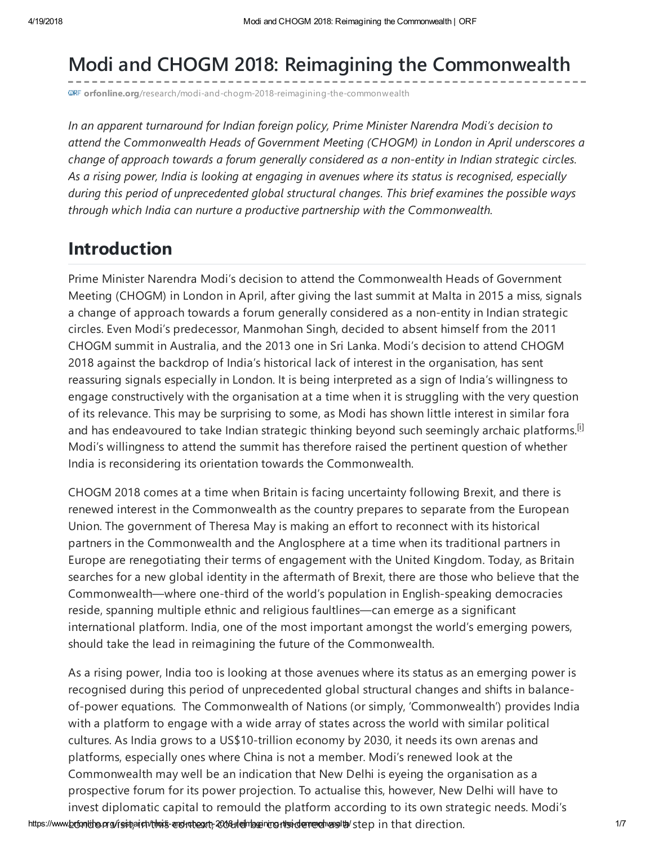# Modi and CHOGM 2018: Reimagining the Commonwealth

**GRF** orfonline.org[/research/modi-and-chogm-2018-reimagining-the-commonwealth](https://www.orfonline.org/research/modi-and-chogm-2018-reimagining-the-commonwealth/)

In an apparent turnaround for Indian foreign policy, Prime Minister Narendra Modi's decision to attend the Commonwealth Heads of Government Meeting (CHOGM) in London in April underscores a change of approach towards a forum generally considered as a non-entity in Indian strategic circles. As a rising power, India is looking at engaging in avenues where its status is recognised, especially during this period of unprecedented global structural changes. This brief examines the possible ways through which India can nurture a productive partnership with the Commonwealth.

### Introduction

Prime Minister Narendra Modi's decision to attend the Commonwealth Heads of Government Meeting (CHOGM) in London in April, after giving the last summit at Malta in 2015 a miss, signals a change of approach towards a forum generally considered as a non-entity in Indian strategic circles. Even Modi's predecessor, Manmohan Singh, decided to absent himself from the 2011 CHOGM summit in Australia, and the 2013 one in Sri Lanka. Modi's decision to attend CHOGM 2018 against the backdrop of India's historical lack of interest in the organisation, has sent reassuring signals especially in London. It is being interpreted as a sign of India's willingness to engage constructively with the organisation at a time when it is struggling with the very question of its relevance. This may be surprising to some, as Modi has shown little interest in similar fora and has endeavoured to take Indian strategic thinking beyond such seemingly archaic platforms.<sup>[\[i\]](#page-5-0)</sup> Modi's willingness to attend the summit has therefore raised the pertinent question of whether India is reconsidering its orientation towards the Commonwealth.

CHOGM 2018 comes at a time when Britain is facing uncertainty following Brexit, and there is renewed interest in the Commonwealth as the country prepares to separate from the European Union. The government of Theresa May is making an effort to reconnect with its historical partners in the Commonwealth and the Anglosphere at a time when its traditional partners in Europe are renegotiating their terms of engagement with the United Kingdom. Today, as Britain searches for a new global identity in the aftermath of Brexit, there are those who believe that the Commonwealth—where one-third of the world's population in English-speaking democracies reside, spanning multiple ethnic and religious faultlines—can emerge as a significant international platform. India, one of the most important amongst the world's emerging powers, should take the lead in reimagining the future of the Commonwealth.

As a rising power, India too is looking at those avenues where its status as an emerging power is recognised during this period of unprecedented global structural changes and shifts in balanceof-power equations. The Commonwealth of Nations (or simply, 'Commonwealth') provides India with a platform to engage with a wide array of states across the world with similar political cultures. As India grows to a US\$10-trillion economy by 2030, it needs its own arenas and platforms, especially ones where China is not a member. Modi's renewed look at the Commonwealth may well be an indication that New Delhi is eyeing the organisation as a prospective forum for its power projection. To actualise this, however, New Delhi will have to invest diplomatic capital to remould the platform according to its own strategic needs. Modi's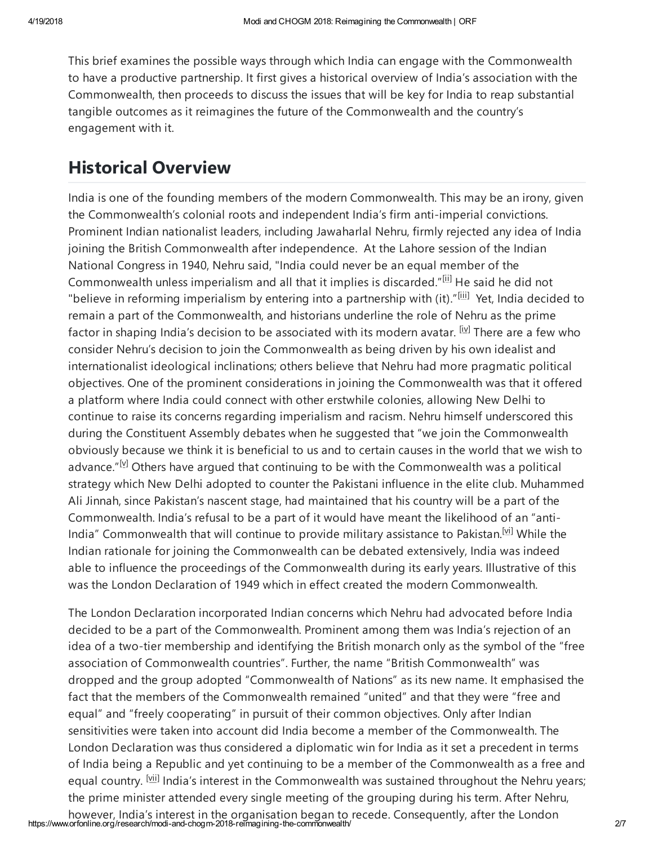This brief examines the possible ways through which India can engage with the Commonwealth to have a productive partnership. It first gives a historical overview of India's association with the Commonwealth, then proceeds to discuss the issues that will be key for India to reap substantial tangible outcomes as it reimagines the future of the Commonwealth and the country's engagement with it.

### Historical Overview

India is one of the founding members of the modern Commonwealth. This may be an irony, given the Commonwealth's colonial roots and independent India's firm anti-imperial convictions. Prominent Indian nationalist leaders, including Jawaharlal Nehru, firmly rejected any idea of India joining the British Commonwealth after independence. At the Lahore session of the Indian National Congress in 1940, Nehru said, "India could never be an equal member of the Commonwealth unless imperialism and all that it implies is discarded."<sup>[\[ii\]](#page-5-1)</sup> He said he did not "believe in reforming imperialism by entering into a partnership with (it)."[\[iii\]](#page-5-2) Yet, India decided to remain a part of the Commonwealth, and historians underline the role of Nehru as the prime factor in shaping India's decision to be associated with its modern avatar. <sup>[\[iv\]](#page-5-3)</sup> There are a few who consider Nehru's decision to join the Commonwealth as being driven by his own idealist and internationalist ideological inclinations; others believe that Nehru had more pragmatic political objectives. One of the prominent considerations in joining the Commonwealth was that it offered a platform where India could connect with other erstwhile colonies, allowing New Delhi to continue to raise its concerns regarding imperialism and racism. Nehru himself underscored this during the Constituent Assembly debates when he suggested that "we join the Commonwealth obviously because we think it is beneficial to us and to certain causes in the world that we wish to advance." $[<sup>M</sup>]$  Others have argued that continuing to be with the Commonwealth was a political strategy which New Delhi adopted to counter the Pakistani influence in the elite club. Muhammed Ali Jinnah, since Pakistan's nascent stage, had maintained that his country will be a part of the Commonwealth. India's refusal to be a part of it would have meant the likelihood of an "anti-India" Commonwealth that will continue to provide military assistance to Pakistan.<sup>[\[vi\]](#page-6-0)</sup> While the Indian rationale for joining the Commonwealth can be debated extensively, India was indeed able to influence the proceedings of the Commonwealth during its early years. Illustrative of this was the London Declaration of 1949 which in effect created the modern Commonwealth.

<span id="page-1-0"></span>The London Declaration incorporated Indian concerns which Nehru had advocated before India decided to be a part of the Commonwealth. Prominent among them was India's rejection of an idea of a two-tier membership and identifying the British monarch only as the symbol of the "free association of Commonwealth countries". Further, the name "British Commonwealth" was dropped and the group adopted "Commonwealth of Nations" as its new name. It emphasised the fact that the members of the Commonwealth remained "united" and that they were "free and equal" and "freely cooperating" in pursuit of their common objectives. Only after Indian sensitivities were taken into account did India become a member of the Commonwealth. The London Declaration was thus considered a diplomatic win for India as it set a precedent in terms of India being a Republic and yet continuing to be a member of the Commonwealth as a free and equal country. <sup>[\[vii\]](#page-6-1)</sup> India's interest in the Commonwealth was sustained throughout the Nehru years; the prime minister attended every single meeting of the grouping during his term. After Nehru,

https://www.orfonline.org/research/modi-and-chogm-2018-reimagining-the-commonwealth/<br>2/7 Attps://www.orfonline.org/research/modi-and-chogm-2018-reimagining-the-commonwealth/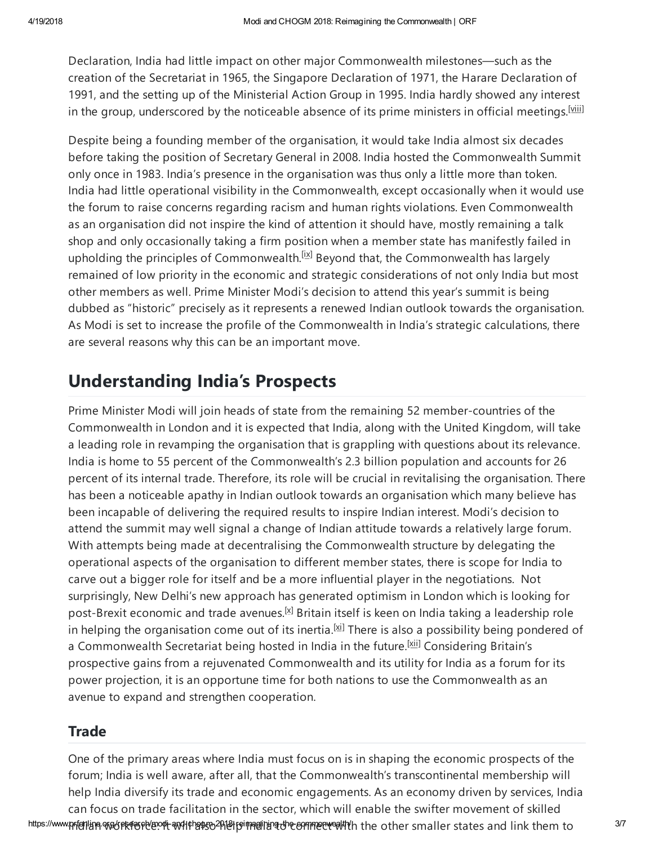<span id="page-2-0"></span>Declaration, India had little impact on other major Commonwealth milestones—such as the creation of the Secretariat in 1965, the Singapore Declaration of 1971, the Harare Declaration of 1991, and the setting up of the Ministerial Action Group in 1995. India hardly showed any interest in the group, underscored by the noticeable absence of its prime ministers in official meetings.<sup>[\[viii\]](#page-6-2)</sup>

Despite being a founding member of the organisation, it would take India almost six decades before taking the position of Secretary General in 2008. India hosted the Commonwealth Summit only once in 1983. India's presence in the organisation was thus only a little more than token. India had little operational visibility in the Commonwealth, except occasionally when it would use the forum to raise concerns regarding racism and human rights violations. Even Commonwealth as an organisation did not inspire the kind of attention it should have, mostly remaining a talk shop and only occasionally taking a firm position when a member state has manifestly failed in upholding the principles of Commonwealth.<sup>[\[ix\]](#page-6-3)</sup> Beyond that, the Commonwealth has largely remained of low priority in the economic and strategic considerations of not only India but most other members as well. Prime Minister Modi's decision to attend this year's summit is being dubbed as "historic" precisely as it represents a renewed Indian outlook towards the organisation. As Modi is set to increase the profile of the Commonwealth in India's strategic calculations, there are several reasons why this can be an important move.

# <span id="page-2-1"></span>Understanding India's Prospects

Prime Minister Modi will join heads of state from the remaining 52 member-countries of the Commonwealth in London and it is expected that India, along with the United Kingdom, will take a leading role in revamping the organisation that is grappling with questions about its relevance. India is home to 55 percent of the Commonwealth's 2.3 billion population and accounts for 26 percent of its internal trade. Therefore, its role will be crucial in revitalising the organisation. There has been a noticeable apathy in Indian outlook towards an organisation which many believe has been incapable of delivering the required results to inspire Indian interest. Modi's decision to attend the summit may well signal a change of Indian attitude towards a relatively large forum. With attempts being made at decentralising the Commonwealth structure by delegating the operational aspects of the organisation to different member states, there is scope for India to carve out a bigger role for itself and be a more influential player in the negotiations. Not surprisingly, New Delhi's new approach has generated optimism in London which is looking for post-Brexit economic and trade avenues.<sup>[\[x\]](#page-6-4)</sup> Britain itself is keen on India taking a leadership role in helping the organisation come out of its inertia.<sup>[\[xi\]](#page-6-5)</sup> There is also a possibility being pondered of a Commonwealth Secretariat being hosted in India in the future.<sup>[\[xii\]](#page-6-6)</sup> Considering Britain's prospective gains from a rejuvenated Commonwealth and its utility for India as a forum for its power projection, it is an opportune time for both nations to use the Commonwealth as an avenue to expand and strengthen cooperation.

#### <span id="page-2-4"></span><span id="page-2-3"></span><span id="page-2-2"></span>**Trade**

https://www.ppf@nlane.wordeneenel@norli-and-lt-hortoceneenedling-divecommodialty-commonlining-connect maller states and link them to allow the states and link them to allow One of the primary areas where India must focus on is in shaping the economic prospects of the forum; India is well aware, after all, that the Commonwealth's transcontinental membership will help India diversify its trade and economic engagements. As an economy driven by services, India can focus on trade facilitation in the sector, which will enable the swifter movement of skilled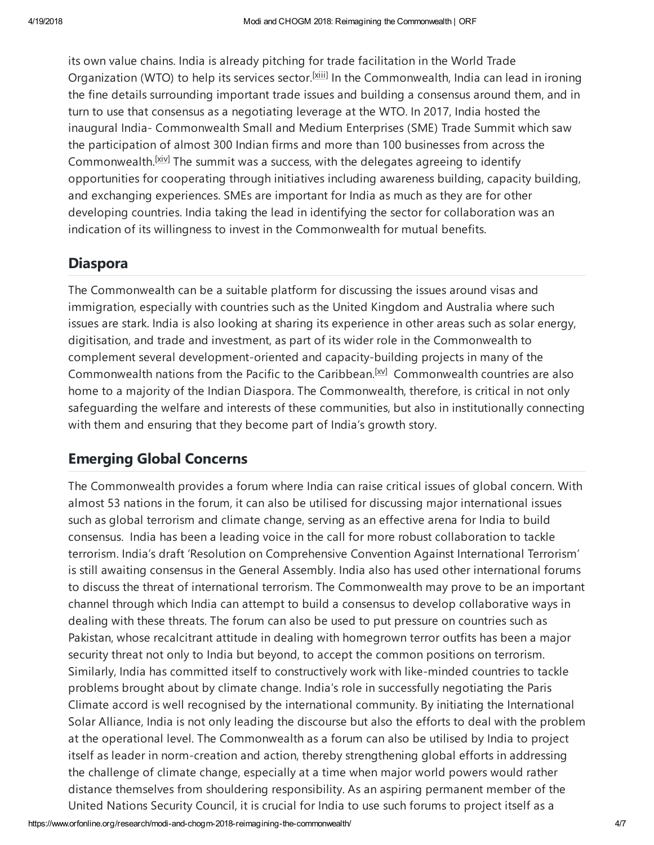<span id="page-3-0"></span>its own value chains. India is already pitching for trade facilitation in the World Trade Organization (WTO) to help its services sector.<sup>[\[xiii\]](#page-6-7)</sup> In the Commonwealth, India can lead in ironing the fine details surrounding important trade issues and building a consensus around them, and in turn to use that consensus as a negotiating leverage at the WTO. In 2017, India hosted the inaugural India- Commonwealth Small and Medium Enterprises (SME) Trade Summit which saw the participation of almost 300 Indian firms and more than 100 businesses from across the Commonwealth.<sup>[\[xiv\]](#page-6-8)</sup> The summit was a success, with the delegates agreeing to identify opportunities for cooperating through initiatives including awareness building, capacity building, and exchanging experiences. SMEs are important for India as much as they are for other developing countries. India taking the lead in identifying the sector for collaboration was an indication of its willingness to invest in the Commonwealth for mutual benefits.

#### <span id="page-3-1"></span>Diaspora

The Commonwealth can be a suitable platform for discussing the issues around visas and immigration, especially with countries such as the United Kingdom and Australia where such issues are stark. India is also looking at sharing its experience in other areas such as solar energy, digitisation, and trade and investment, as part of its wider role in the Commonwealth to complement several development-oriented and capacity-building projects in many of the Commonwealth nations from the Pacific to the Caribbean.<sup>[XV]</sup> Commonwealth countries are also home to a majority of the Indian Diaspora. The Commonwealth, therefore, is critical in not only safeguarding the welfare and interests of these communities, but also in institutionally connecting with them and ensuring that they become part of India's growth story.

### <span id="page-3-2"></span>Emerging Global Concerns

The Commonwealth provides a forum where India can raise critical issues of global concern. With almost 53 nations in the forum, it can also be utilised for discussing major international issues such as global terrorism and climate change, serving as an effective arena for India to build consensus. India has been a leading voice in the call for more robust collaboration to tackle terrorism. India's draft 'Resolution on Comprehensive Convention Against International Terrorism' is still awaiting consensus in the General Assembly. India also has used other international forums to discuss the threat of international terrorism. The Commonwealth may prove to be an important channel through which India can attempt to build a consensus to develop collaborative ways in dealing with these threats. The forum can also be used to put pressure on countries such as Pakistan, whose recalcitrant attitude in dealing with homegrown terror outfits has been a major security threat not only to India but beyond, to accept the common positions on terrorism. Similarly, India has committed itself to constructively work with like-minded countries to tackle problems brought about by climate change. India's role in successfully negotiating the Paris Climate accord is well recognised by the international community. By initiating the International Solar Alliance, India is not only leading the discourse but also the efforts to deal with the problem at the operational level. The Commonwealth as a forum can also be utilised by India to project itself as leader in norm-creation and action, thereby strengthening global efforts in addressing the challenge of climate change, especially at a time when major world powers would rather distance themselves from shouldering responsibility. As an aspiring permanent member of the United Nations Security Council, it is crucial for India to use such forums to project itself as a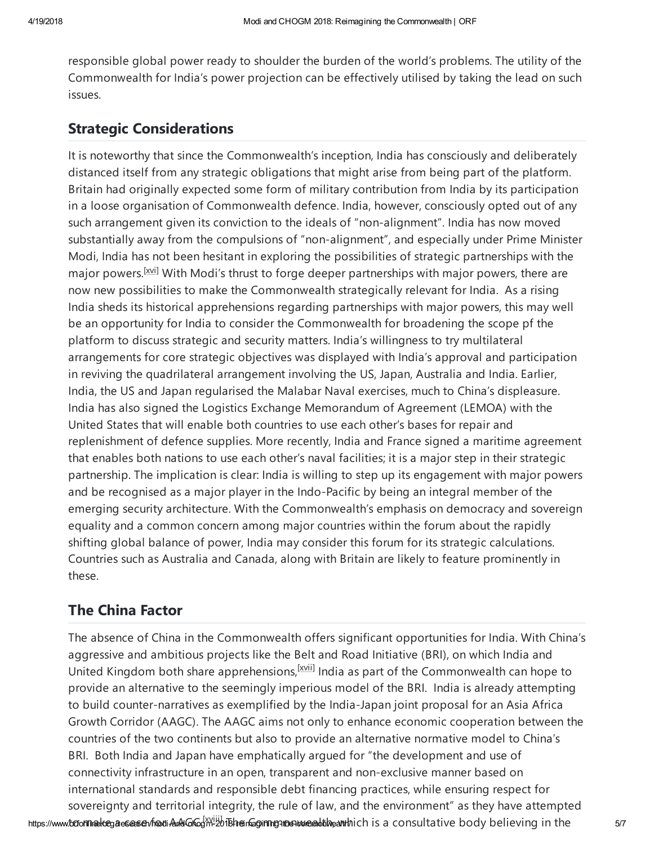responsible global power ready to shoulder the burden of the world's problems. The utility of the Commonwealth for India's power projection can be effectively utilised by taking the lead on such issues.

#### Strategic Considerations

<span id="page-4-0"></span>It is noteworthy that since the Commonwealth's inception, India has consciously and deliberately distanced itself from any strategic obligations that might arise from being part of the platform. Britain had originally expected some form of military contribution from India by its participation in a loose organisation of Commonwealth defence. India, however, consciously opted out of any such arrangement given its conviction to the ideals of "non-alignment". India has now moved substantially away from the compulsions of "non-alignment", and especially under Prime Minister Modi, India has not been hesitant in exploring the possibilities of strategic partnerships with the major powers.<sup>[\[xvi\]](#page-6-10)</sup> With Modi's thrust to forge deeper partnerships with major powers, there are now new possibilities to make the Commonwealth strategically relevant for India. As a rising India sheds its historical apprehensions regarding partnerships with major powers, this may well be an opportunity for India to consider the Commonwealth for broadening the scope pf the platform to discuss strategic and security matters. India's willingness to try multilateral arrangements for core strategic objectives was displayed with India's approval and participation in reviving the quadrilateral arrangement involving the US, Japan, Australia and India. Earlier, India, the US and Japan regularised the Malabar Naval exercises, much to China's displeasure. India has also signed the Logistics Exchange Memorandum of Agreement (LEMOA) with the United States that will enable both countries to use each other's bases for repair and replenishment of defence supplies. More recently, India and France signed a maritime agreement that enables both nations to use each other's naval facilities; it is a major step in their strategic partnership. The implication is clear: India is willing to step up its engagement with major powers and be recognised as a major player in the Indo-Pacific by being an integral member of the emerging security architecture. With the Commonwealth's emphasis on democracy and sovereign equality and a common concern among major countries within the forum about the rapidly shifting global balance of power, India may consider this forum for its strategic calculations. Countries such as Australia and Canada, along with Britain are likely to feature prominently in these.

### <span id="page-4-1"></span>The China Factor

https://www.**bcfonnnaekeeg.a.esseasen/fnodi-AnAkGnGg<sup>ky.jij]</sup>dBheinGginnng-makawenaaldthe-anthich is a consultative body believing in the the the str** The absence of China in the Commonwealth offers significant opportunities for India. With China's aggressive and ambitious projects like the Belt and Road Initiative (BRI), on which India and United Kingdom both share apprehensions, <sup>[\[xvii\]](#page-6-11)</sup> India as part of the Commonwealth can hope to provide an alternative to the seemingly imperious model of the BRI. India is already attempting to build counter-narratives as exemplified by the India-Japan joint proposal for an Asia Africa Growth Corridor (AAGC). The AAGC aims not only to enhance economic cooperation between the countries of the two continents but also to provide an alternative normative model to China's BRI. Both India and Japan have emphatically argued for "the development and use of connectivity infrastructure in an open, transparent and non-exclusive manner based on international standards and responsible debt financing practices, while ensuring respect for sovereignty and territorial integrity, the rule of law, and the environment" as they have attempted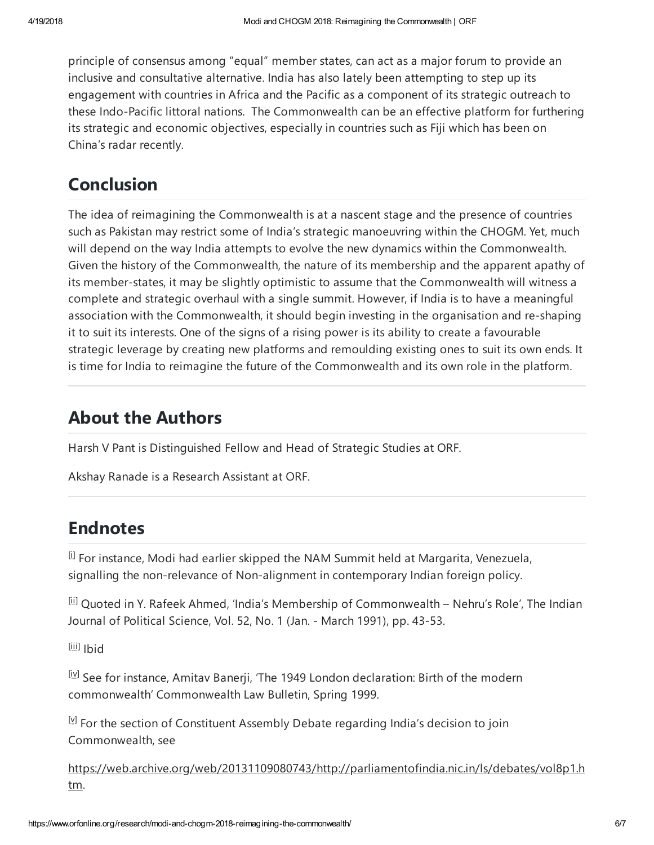<span id="page-5-5"></span>principle of consensus among "equal" member states, can act as a major forum to provide an inclusive and consultative alternative. India has also lately been attempting to step up its engagement with countries in Africa and the Pacific as a component of its strategic outreach to these Indo-Pacific littoral nations. The Commonwealth can be an effective platform for furthering its strategic and economic objectives, especially in countries such as Fiji which has been on China's radar recently.

### **Conclusion**

The idea of reimagining the Commonwealth is at a nascent stage and the presence of countries such as Pakistan may restrict some of India's strategic manoeuvring within the CHOGM. Yet, much will depend on the way India attempts to evolve the new dynamics within the Commonwealth. Given the history of the Commonwealth, the nature of its membership and the apparent apathy of its member-states, it may be slightly optimistic to assume that the Commonwealth will witness a complete and strategic overhaul with a single summit. However, if India is to have a meaningful association with the Commonwealth, it should begin investing in the organisation and re-shaping it to suit its interests. One of the signs of a rising power is its ability to create a favourable strategic leverage by creating new platforms and remoulding existing ones to suit its own ends. It is time for India to reimagine the future of the Commonwealth and its own role in the platform.

### About the Authors

Harsh V Pant is Distinguished Fellow and Head of Strategic Studies at ORF.

Akshay Ranade is a Research Assistant at ORF.

# Endnotes

[i] For instance, Modi had earlier skipped the NAM Summit held at Margarita, Venezuela, signalling the non-relevance of Non-alignment in contemporary Indian foreign policy.

<span id="page-5-0"></span>[ii] Quoted in Y. Rafeek Ahmed, 'India's Membership of Commonwealth - Nehru's Role', The Indian Journal of Political Science, Vol. 52, No. 1 (Jan. - March 1991), pp. 43-53.

<span id="page-5-1"></span><sup>[iii]</sup> Ibid

 $\mathbb{I}^{[y]}$  See for instance, Amitav Banerji, 'The 1949 London declaration: Birth of the modern commonwealth' Commonwealth Law Bulletin, Spring 1999.

<span id="page-5-3"></span><span id="page-5-2"></span> $\mathbb{F}$  For the section of Constituent Assembly Debate regarding India's decision to join Commonwealth, see

<span id="page-5-4"></span>[https://web.archive.org/web/20131109080743/http://parliamentofindia.nic.in/ls/debates/vol8p1.h](https://web.archive.org/web/20131109080743/http:/parliamentofindia.nic.in/ls/debates/vol8p1.htm) tm.